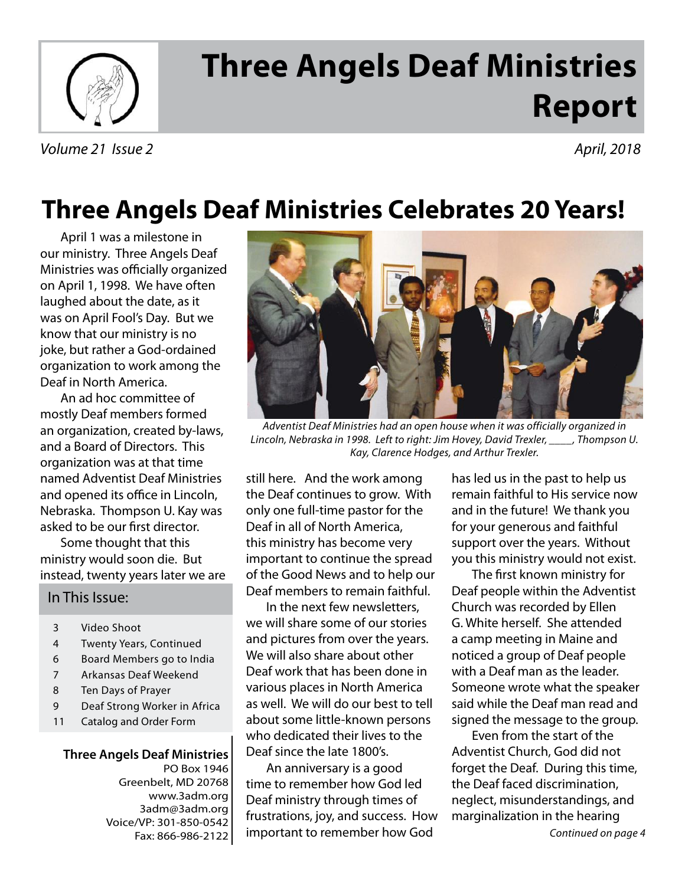

# **Three Angels Deaf Ministries Report**

Volume 21 Issue 2 April, 2018

## **Three Angels Deaf Ministries Celebrates 20 Years!**

April 1 was a milestone in our ministry. Three Angels Deaf Ministries was officially organized on April 1, 1998. We have often laughed about the date, as it was on April Fool's Day. But we know that our ministry is no joke, but rather a God-ordained organization to work among the Deaf in North America.

An ad hoc committee of mostly Deaf members formed an organization, created by-laws, and a Board of Directors. This organization was at that time named Adventist Deaf Ministries and opened its office in Lincoln, Nebraska. Thompson U. Kay was asked to be our first director.

Some thought that this ministry would soon die. But instead, twenty years later we are

#### In This Issue:

- 3 Video Shoot
- 4 Twenty Years, Continued
- 6 Board Members go to India
- 7 Arkansas Deaf Weekend
- 8 Ten Days of Prayer
- 9 Deaf Strong Worker in Africa
- 11 Catalog and Order Form

**Three Angels Deaf Ministries** PO Box 1946 Greenbelt, MD 20768 www.3adm.org 3adm@3adm.org Voice/VP: 301-850-0542 Fax: 866-986-2122



Adventist Deaf Ministries had an open house when it was officially organized in Lincoln, Nebraska in 1998. Left to right: Jim Hovey, David Trexler, \_\_\_\_, Thompson U. Kay, Clarence Hodges, and Arthur Trexler.

still here. And the work among the Deaf continues to grow. With only one full-time pastor for the Deaf in all of North America, this ministry has become very important to continue the spread of the Good News and to help our Deaf members to remain faithful.

In the next few newsletters, we will share some of our stories and pictures from over the years. We will also share about other Deaf work that has been done in various places in North America as well. We will do our best to tell about some little-known persons who dedicated their lives to the Deaf since the late 1800's.

An anniversary is a good time to remember how God led Deaf ministry through times of frustrations, joy, and success. How important to remember how God

has led us in the past to help us remain faithful to His service now and in the future! We thank you for your generous and faithful support over the years. Without you this ministry would not exist.

The first known ministry for Deaf people within the Adventist Church was recorded by Ellen G. White herself. She attended a camp meeting in Maine and noticed a group of Deaf people with a Deaf man as the leader. Someone wrote what the speaker said while the Deaf man read and signed the message to the group.

Even from the start of the Adventist Church, God did not forget the Deaf. During this time, the Deaf faced discrimination, neglect, misunderstandings, and marginalization in the hearing

Continued on page 4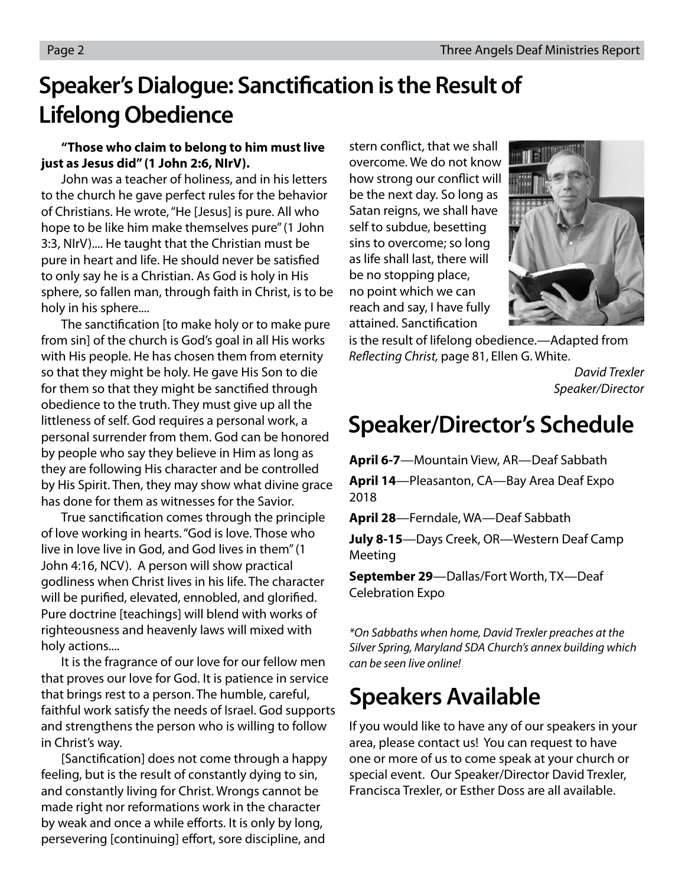### **Speaker's Dialogue: Sanctification is the Result of Lifelong Obedience**

#### **"Those who claim to belong to him must live just as Jesus did" (1 John 2:6, NIrV).**

 John was a teacher of holiness, and in his letters to the church he gave perfect rules for the behavior of Christians. He wrote, "He [Jesus] is pure. All who hope to be like him make themselves pure" (1 John 3:3, NIrV).... He taught that the Christian must be pure in heart and life. He should never be satisfied to only say he is a Christian. As God is holy in His sphere, so fallen man, through faith in Christ, is to be holy in his sphere....

The sanctification [to make holy or to make pure from sin] of the church is God's goal in all His works with His people. He has chosen them from eternity so that they might be holy. He gave His Son to die for them so that they might be sanctified through obedience to the truth. They must give up all the littleness of self. God requires a personal work, a personal surrender from them. God can be honored by people who say they believe in Him as long as they are following His character and be controlled by His Spirit. Then, they may show what divine grace has done for them as witnesses for the Savior.

True sanctification comes through the principle of love working in hearts. "God is love. Those who live in love live in God, and God lives in them" (1 John 4:16, NCV). A person will show practical godliness when Christ lives in his life. The character will be purified, elevated, ennobled, and glorified. Pure doctrine [teachings] will blend with works of righteousness and heavenly laws will mixed with holy actions....

 It is the fragrance of our love for our fellow men that proves our love for God. It is patience in service that brings rest to a person. The humble, careful, faithful work satisfy the needs of Israel. God supports and strengthens the person who is willing to follow in Christ's way.

[Sanctification] does not come through a happy feeling, but is the result of constantly dying to sin, and constantly living for Christ. Wrongs cannot be made right nor reformations work in the character by weak and once a while efforts. It is only by long, persevering [continuing] effort, sore discipline, and

stern conflict, that we shall overcome. We do not know how strong our conflict will be the next day. So long as Satan reigns, we shall have self to subdue, besetting sins to overcome; so long as life shall last, there will be no stopping place, no point which we can reach and say, I have fully attained. Sanctification



is the result of lifelong obedience.—Adapted from Reflecting Christ, page 81, Ellen G. White.

> David Trexler Speaker/Director

### **Speaker/Director's Schedule**

**April 6-7**—Mountain View, AR—Deaf Sabbath

**April 14**—Pleasanton, CA—Bay Area Deaf Expo 2018

**April 28**—Ferndale, WA—Deaf Sabbath

**July 8-15**—Days Creek, OR—Western Deaf Camp Meeting

**September 29**—Dallas/Fort Worth, TX—Deaf Celebration Expo

\*On Sabbaths when home, David Trexler preaches at the Silver Spring, Maryland SDA Church's annex building which can be seen live online!

### **Speakers Available**

If you would like to have any of our speakers in your area, please contact us! You can request to have one or more of us to come speak at your church or special event. Our Speaker/Director David Trexler, Francisca Trexler, or Esther Doss are all available.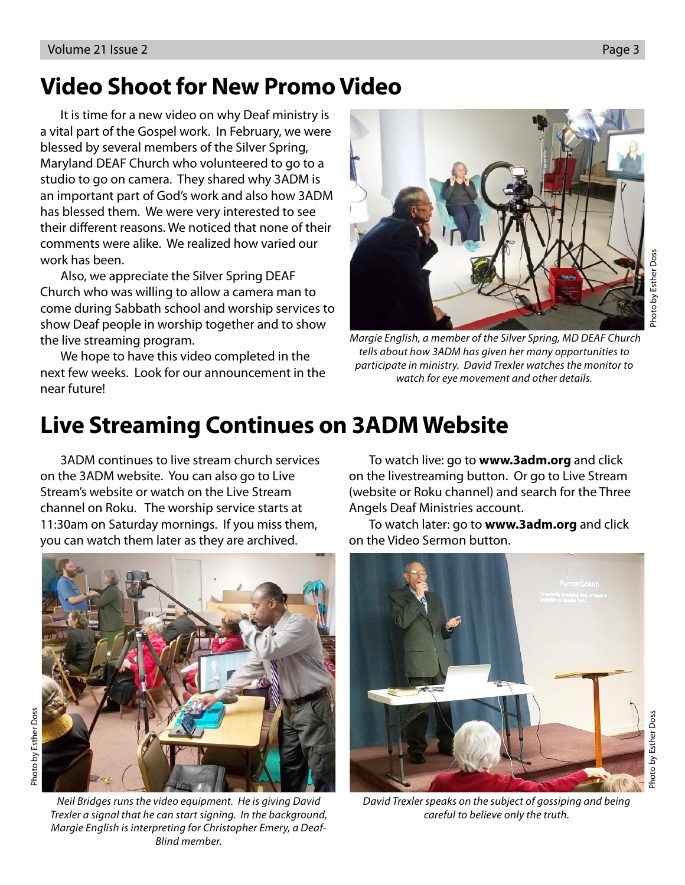### **Video Shoot for New Promo Video**

 It is time for a new video on why Deaf ministry is a vital part of the Gospel work. In February, we were blessed by several members of the Silver Spring, Maryland DEAF Church who volunteered to go to a studio to go on camera. They shared why 3ADM is an important part of God's work and also how 3ADM has blessed them. We were very interested to see their different reasons. We noticed that none of their comments were alike. We realized how varied our work has been.

 Also, we appreciate the Silver Spring DEAF Church who was willing to allow a camera man to come during Sabbath school and worship services to show Deaf people in worship together and to show the live streaming program.

 We hope to have this video completed in the next few weeks. Look for our announcement in the near future!



 Margie English, a member of the Silver Spring, MD DEAF Church tells about how 3ADM has given her many opportunities to participate in ministry. David Trexler watches the monitor to watch for eye movement and other details.

### **Live Streaming Continues on 3ADM Website**

 3ADM continues to live stream church services on the 3ADM website. You can also go to Live Stream's website or watch on the Live Stream channel on Roku. The worship service starts at 11:30am on Saturday mornings. If you miss them, you can watch them later as they are archived.



Neil Bridges runs the video equipment. He is giving David Trexler a signal that he can start signing. In the background, Margie English is interpreting for Christopher Emery, a Deaf-Blind member.

 To watch live: go to **www.3adm.org** and click on the livestreaming button. Or go to Live Stream (website or Roku channel) and search for the Three Angels Deaf Ministries account.

 To watch later: go to **www.3adm.org** and click on the Video Sermon button.



David Trexler speaks on the subject of gossiping and being careful to believe only the truth.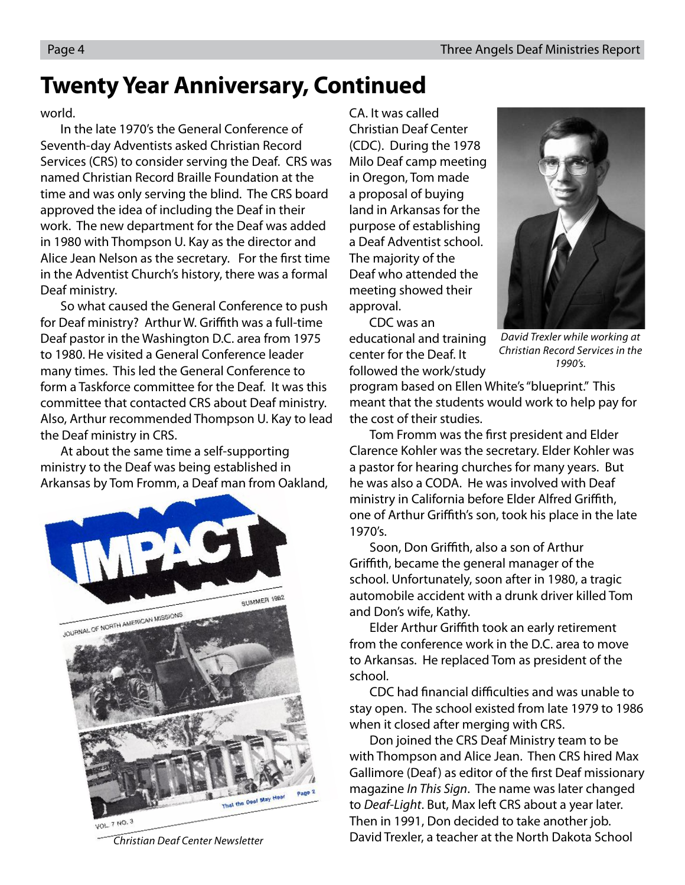### **Twenty Year Anniversary, Continued**

world.

In the late 1970's the General Conference of Seventh-day Adventists asked Christian Record Services (CRS) to consider serving the Deaf. CRS was named Christian Record Braille Foundation at the time and was only serving the blind. The CRS board approved the idea of including the Deaf in their work. The new department for the Deaf was added in 1980 with Thompson U. Kay as the director and Alice Jean Nelson as the secretary. For the first time in the Adventist Church's history, there was a formal Deaf ministry.

So what caused the General Conference to push for Deaf ministry? Arthur W. Griffith was a full-time Deaf pastor in the Washington D.C. area from 1975 to 1980. He visited a General Conference leader many times. This led the General Conference to form a Taskforce committee for the Deaf. It was this committee that contacted CRS about Deaf ministry. Also, Arthur recommended Thompson U. Kay to lead the Deaf ministry in CRS.

At about the same time a self-supporting ministry to the Deaf was being established in Arkansas by Tom Fromm, a Deaf man from Oakland,



Christian Deaf Center Newsletter

CA. It was called Christian Deaf Center (CDC). During the 1978 Milo Deaf camp meeting in Oregon, Tom made a proposal of buying land in Arkansas for the purpose of establishing a Deaf Adventist school. The majority of the Deaf who attended the meeting showed their approval.

CDC was an educational and training center for the Deaf. It followed the work/study



David Trexler while working at Christian Record Services in the 1990's.

program based on Ellen White's "blueprint." This meant that the students would work to help pay for the cost of their studies.

Tom Fromm was the first president and Elder Clarence Kohler was the secretary. Elder Kohler was a pastor for hearing churches for many years. But he was also a CODA. He was involved with Deaf ministry in California before Elder Alfred Griffith, one of Arthur Griffith's son, took his place in the late 1970's.

Soon, Don Griffith, also a son of Arthur Griffith, became the general manager of the school. Unfortunately, soon after in 1980, a tragic automobile accident with a drunk driver killed Tom and Don's wife, Kathy.

Elder Arthur Griffith took an early retirement from the conference work in the D.C. area to move to Arkansas. He replaced Tom as president of the school.

CDC had financial difficulties and was unable to stay open. The school existed from late 1979 to 1986 when it closed after merging with CRS.

Don joined the CRS Deaf Ministry team to be with Thompson and Alice Jean. Then CRS hired Max Gallimore (Deaf) as editor of the first Deaf missionary magazine In This Sign. The name was later changed to Deaf-Light. But, Max left CRS about a year later. Then in 1991, Don decided to take another job. David Trexler, a teacher at the North Dakota School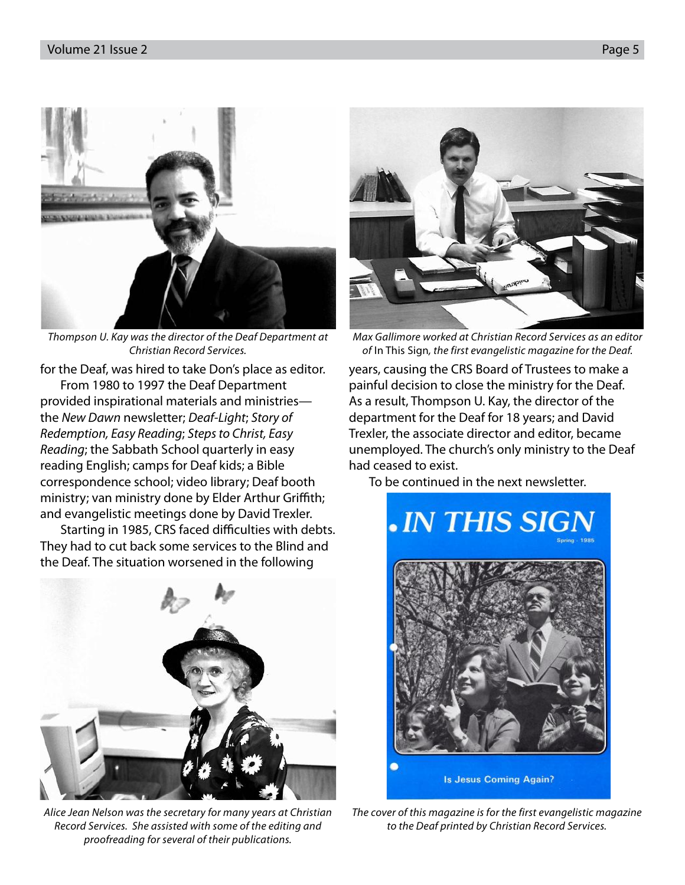

Thompson U. Kay was the director of the Deaf Department at Christian Record Services.

for the Deaf, was hired to take Don's place as editor.

From 1980 to 1997 the Deaf Department provided inspirational materials and ministries the New Dawn newsletter; Deaf-Light; Story of Redemption, Easy Reading; Steps to Christ, Easy Reading; the Sabbath School quarterly in easy reading English; camps for Deaf kids; a Bible correspondence school; video library; Deaf booth ministry; van ministry done by Elder Arthur Griffith; and evangelistic meetings done by David Trexler.

Starting in 1985, CRS faced difficulties with debts. They had to cut back some services to the Blind and the Deaf. The situation worsened in the following



Alice Jean Nelson was the secretary for many years at Christian Record Services. She assisted with some of the editing and proofreading for several of their publications.



Max Gallimore worked at Christian Record Services as an editor of In This Sign, the first evangelistic magazine for the Deaf.

years, causing the CRS Board of Trustees to make a painful decision to close the ministry for the Deaf. As a result, Thompson U. Kay, the director of the department for the Deaf for 18 years; and David Trexler, the associate director and editor, became unemployed. The church's only ministry to the Deaf had ceased to exist.

To be continued in the next newsletter.



The cover of this magazine is for the first evangelistic magazine to the Deaf printed by Christian Record Services.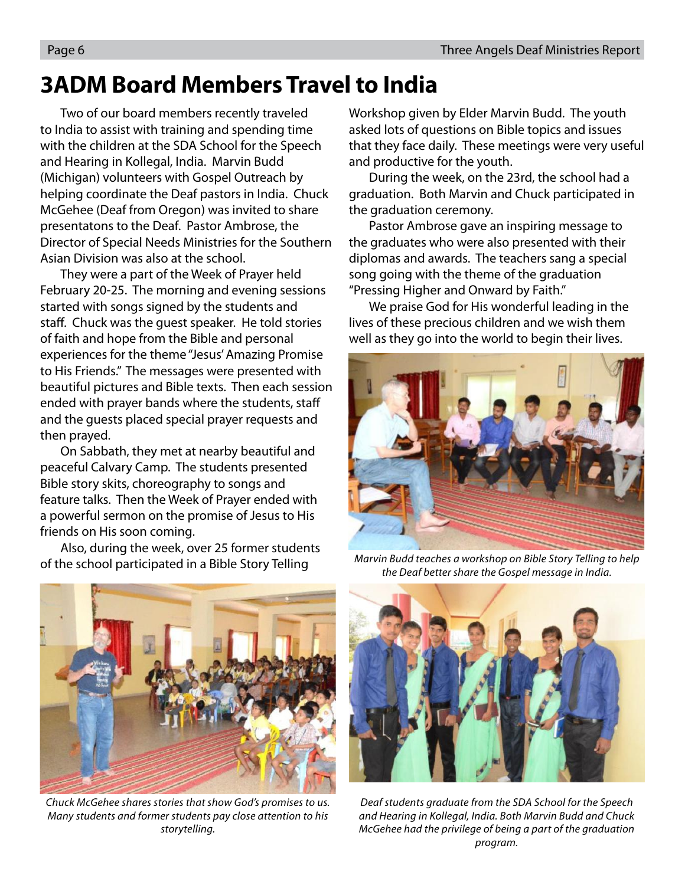### **3ADM Board Members Travel to India**

Two of our board members recently traveled to India to assist with training and spending time with the children at the SDA School for the Speech and Hearing in Kollegal, India. Marvin Budd (Michigan) volunteers with Gospel Outreach by helping coordinate the Deaf pastors in India. Chuck McGehee (Deaf from Oregon) was invited to share presentatons to the Deaf. Pastor Ambrose, the Director of Special Needs Ministries for the Southern Asian Division was also at the school.

They were a part of the Week of Prayer held February 20-25. The morning and evening sessions started with songs signed by the students and staff. Chuck was the quest speaker. He told stories of faith and hope from the Bible and personal experiences for the theme "Jesus' Amazing Promise to His Friends." The messages were presented with beautiful pictures and Bible texts. Then each session ended with prayer bands where the students, sta and the guests placed special prayer requests and then prayed.

On Sabbath, they met at nearby beautiful and peaceful Calvary Camp. The students presented Bible story skits, choreography to songs and feature talks. Then the Week of Prayer ended with a powerful sermon on the promise of Jesus to His friends on His soon coming.

Also, during the week, over 25 former students of the school participated in a Bible Story Telling

Workshop given by Elder Marvin Budd. The youth asked lots of questions on Bible topics and issues that they face daily. These meetings were very useful and productive for the youth.

During the week, on the 23rd, the school had a graduation. Both Marvin and Chuck participated in the graduation ceremony.

Pastor Ambrose gave an inspiring message to the graduates who were also presented with their diplomas and awards. The teachers sang a special song going with the theme of the graduation "Pressing Higher and Onward by Faith."

We praise God for His wonderful leading in the lives of these precious children and we wish them well as they go into the world to begin their lives.



Marvin Budd teaches a workshop on Bible Story Telling to help the Deaf better share the Gospel message in India.



Chuck McGehee shares stories that show God's promises to us. Many students and former students pay close attention to his storytelling.



Deaf students graduate from the SDA School for the Speech and Hearing in Kollegal, India. Both Marvin Budd and Chuck McGehee had the privilege of being a part of the graduation program.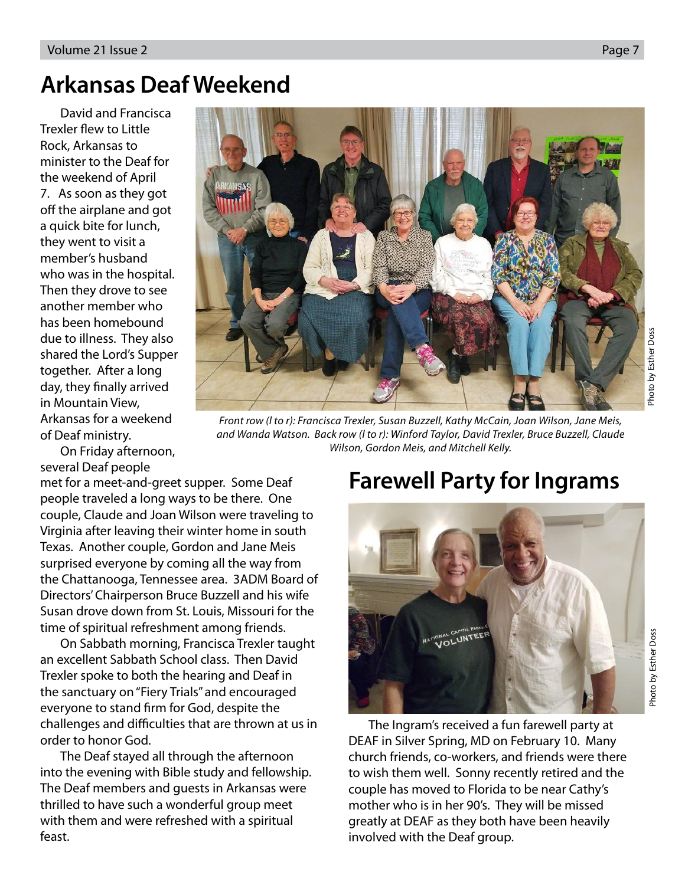### **Arkansas Deaf Weekend**

David and Francisca Trexler flew to Little Rock, Arkansas to minister to the Deaf for the weekend of April 7. As soon as they got off the airplane and got a quick bite for lunch, they went to visit a member's husband who was in the hospital. Then they drove to see another member who has been homebound due to illness. They also shared the Lord's Supper together. After a long day, they finally arrived in Mountain View, Arkansas for a weekend of Deaf ministry.

On Friday afternoon, several Deaf people

met for a meet-and-greet supper. Some Deaf people traveled a long ways to be there. One couple, Claude and Joan Wilson were traveling to Virginia after leaving their winter home in south Texas. Another couple, Gordon and Jane Meis surprised everyone by coming all the way from the Chattanooga, Tennessee area. 3ADM Board of Directors' Chairperson Bruce Buzzell and his wife Susan drove down from St. Louis, Missouri for the time of spiritual refreshment among friends.

On Sabbath morning, Francisca Trexler taught an excellent Sabbath School class. Then David Trexler spoke to both the hearing and Deaf in the sanctuary on "Fiery Trials" and encouraged everyone to stand firm for God, despite the challenges and difficulties that are thrown at us in order to honor God.

The Deaf stayed all through the afternoon into the evening with Bible study and fellowship. The Deaf members and guests in Arkansas were thrilled to have such a wonderful group meet with them and were refreshed with a spiritual feast.

### **Farewell Party for Ingrams**

The Ingram's received a fun farewell party at DEAF in Silver Spring, MD on February 10. Many church friends, co-workers, and friends were there to wish them well. Sonny recently retired and the couple has moved to Florida to be near Cathy's mother who is in her 90's. They will be missed greatly at DEAF as they both have been heavily involved with the Deaf group.

Photo by Esther Doss

Photo by Esther Doss

Front row (l to r): Francisca Trexler, Susan Buzzell, Kathy McCain, Joan Wilson, Jane Meis, and Wanda Watson. Back row (l to r): Winford Taylor, David Trexler, Bruce Buzzell, Claude Wilson, Gordon Meis, and Mitchell Kelly.

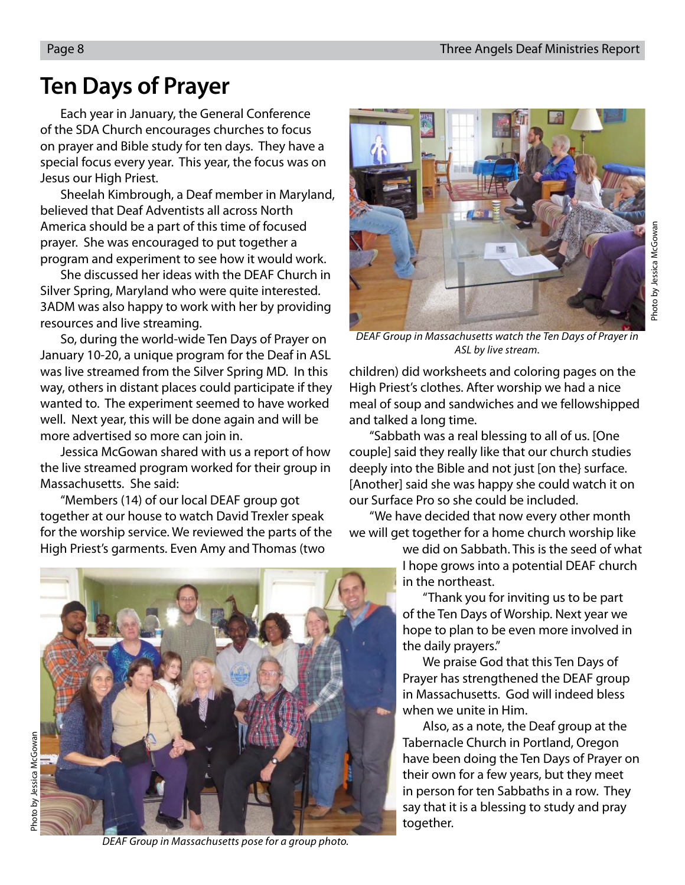### **Ten Days of Prayer**

Each year in January, the General Conference of the SDA Church encourages churches to focus on prayer and Bible study for ten days. They have a special focus every year. This year, the focus was on Jesus our High Priest.

Sheelah Kimbrough, a Deaf member in Maryland, believed that Deaf Adventists all across North America should be a part of this time of focused prayer. She was encouraged to put together a program and experiment to see how it would work.

She discussed her ideas with the DEAF Church in Silver Spring, Maryland who were quite interested. 3ADM was also happy to work with her by providing resources and live streaming.

So, during the world-wide Ten Days of Prayer on January 10-20, a unique program for the Deaf in ASL was live streamed from the Silver Spring MD. In this way, others in distant places could participate if they wanted to. The experiment seemed to have worked well. Next year, this will be done again and will be more advertised so more can join in.

Jessica McGowan shared with us a report of how the live streamed program worked for their group in Massachusetts. She said:

"Members (14) of our local DEAF group got together at our house to watch David Trexler speak for the worship service. We reviewed the parts of the High Priest's garments. Even Amy and Thomas (two



DEAF Group in Massachusetts watch the Ten Days of Prayer in ASL by live stream.

children) did worksheets and coloring pages on the High Priest's clothes. After worship we had a nice meal of soup and sandwiches and we fellowshipped and talked a long time.

"Sabbath was a real blessing to all of us. [One couple] said they really like that our church studies deeply into the Bible and not just [on the} surface. [Another] said she was happy she could watch it on our Surface Pro so she could be included.

"We have decided that now every other month we will get together for a home church worship like

> we did on Sabbath. This is the seed of what I hope grows into a potential DEAF church in the northeast.

"Thank you for inviting us to be part of the Ten Days of Worship. Next year we hope to plan to be even more involved in the daily prayers."

We praise God that this Ten Days of Prayer has strengthened the DEAF group in Massachusetts. God will indeed bless when we unite in Him.

Also, as a note, the Deaf group at the Tabernacle Church in Portland, Oregon have been doing the Ten Days of Prayer on their own for a few years, but they meet in person for ten Sabbaths in a row. They say that it is a blessing to study and pray together.



DEAF Group in Massachusetts pose for a group photo.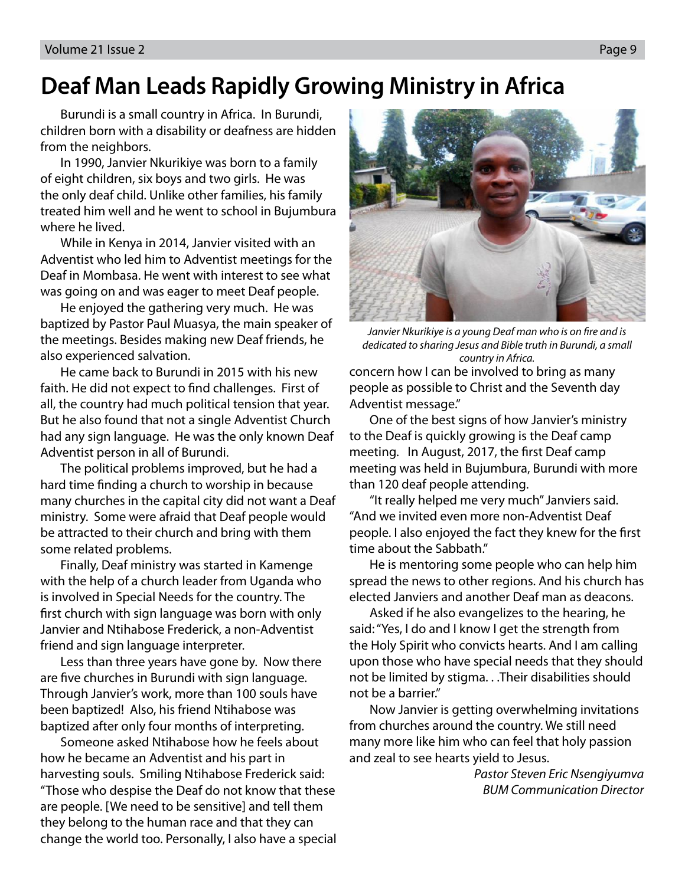### **Deaf Man Leads Rapidly Growing Ministry in Africa**

Burundi is a small country in Africa. In Burundi, children born with a disability or deafness are hidden from the neighbors.

In 1990, Janvier Nkurikiye was born to a family of eight children, six boys and two girls. He was the only deaf child. Unlike other families, his family treated him well and he went to school in Bujumbura where he lived.

While in Kenya in 2014, Janvier visited with an Adventist who led him to Adventist meetings for the Deaf in Mombasa. He went with interest to see what was going on and was eager to meet Deaf people.

He enjoyed the gathering very much. He was baptized by Pastor Paul Muasya, the main speaker of the meetings. Besides making new Deaf friends, he also experienced salvation.

He came back to Burundi in 2015 with his new faith. He did not expect to find challenges. First of all, the country had much political tension that year. But he also found that not a single Adventist Church had any sign language. He was the only known Deaf Adventist person in all of Burundi.

The political problems improved, but he had a hard time finding a church to worship in because many churches in the capital city did not want a Deaf ministry. Some were afraid that Deaf people would be attracted to their church and bring with them some related problems.

Finally, Deaf ministry was started in Kamenge with the help of a church leader from Uganda who is involved in Special Needs for the country. The first church with sign language was born with only Janvier and Ntihabose Frederick, a non-Adventist friend and sign language interpreter.

Less than three years have gone by. Now there are five churches in Burundi with sign language. Through Janvier's work, more than 100 souls have been baptized! Also, his friend Ntihabose was baptized after only four months of interpreting.

Someone asked Ntihabose how he feels about how he became an Adventist and his part in harvesting souls. Smiling Ntihabose Frederick said: "Those who despise the Deaf do not know that these are people. [We need to be sensitive] and tell them they belong to the human race and that they can change the world too. Personally, I also have a special



Janvier Nkurikiye is a young Deaf man who is on fire and is dedicated to sharing Jesus and Bible truth in Burundi, a small country in Africa.

concern how I can be involved to bring as many people as possible to Christ and the Seventh day Adventist message."

One of the best signs of how Janvier's ministry to the Deaf is quickly growing is the Deaf camp meeting. In August, 2017, the first Deaf camp meeting was held in Bujumbura, Burundi with more than 120 deaf people attending.

"It really helped me very much" Janviers said. "And we invited even more non-Adventist Deaf people. I also enjoyed the fact they knew for the first time about the Sabbath."

He is mentoring some people who can help him spread the news to other regions. And his church has elected Janviers and another Deaf man as deacons.

Asked if he also evangelizes to the hearing, he said: "Yes, I do and I know I get the strength from the Holy Spirit who convicts hearts. And I am calling upon those who have special needs that they should not be limited by stigma. . .Their disabilities should not be a barrier."

Now Janvier is getting overwhelming invitations from churches around the country. We still need many more like him who can feel that holy passion and zeal to see hearts yield to Jesus.

> Pastor Steven Eric Nsengiyumva BUM Communication Director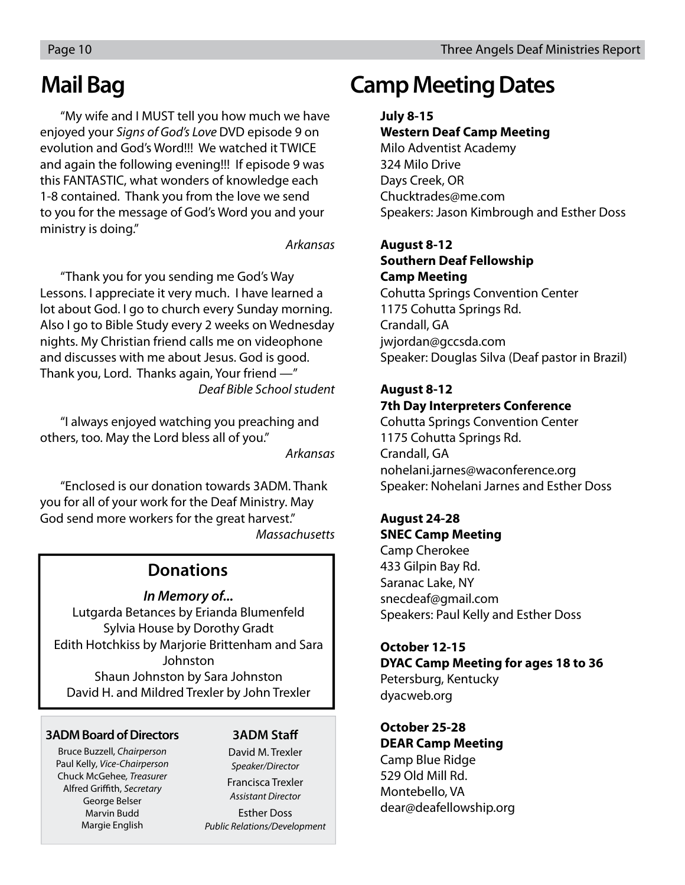### **Mail Bag**

"My wife and I MUST tell you how much we have enjoyed your Signs of God's Love DVD episode 9 on evolution and God's Word!!! We watched it TWICE and again the following evening!!! If episode 9 was this FANTASTIC, what wonders of knowledge each 1-8 contained. Thank you from the love we send to you for the message of God's Word you and your ministry is doing."

#### Arkansas

"Thank you for you sending me God's Way Lessons. I appreciate it very much. I have learned a lot about God. I go to church every Sunday morning. Also I go to Bible Study every 2 weeks on Wednesday nights. My Christian friend calls me on videophone and discusses with me about Jesus. God is good. Thank you, Lord. Thanks again, Your friend —" Deaf Bible School student

"I always enjoyed watching you preaching and others, too. May the Lord bless all of you." Arkansas

"Enclosed is our donation towards 3ADM. Thank you for all of your work for the Deaf Ministry. May God send more workers for the great harvest." **Massachusetts** 

#### **Donations**

#### **In Memory of...**

Lutgarda Betances by Erianda Blumenfeld Sylvia House by Dorothy Gradt Edith Hotchkiss by Marjorie Brittenham and Sara Johnston Shaun Johnston by Sara Johnston David H. and Mildred Trexler by John Trexler

#### **3ADM Board of Directors**

Bruce Buzzell, Chairperson Paul Kelly, Vice-Chairperson Chuck McGehee, Treasurer Alfred Griffith, Secretary George Belser Marvin Budd Margie English

#### **3ADM Staff**

David M. Trexler Speaker/Director Francisca Trexler Assistant Director

Esther Doss Public Relations/Development

### **Camp Meeting Dates**

#### **July 8-15**

#### **Western Deaf Camp Meeting**

Milo Adventist Academy 324 Milo Drive Days Creek, OR Chucktrades@me.com Speakers: Jason Kimbrough and Esther Doss

#### **August 8-12**

#### **Southern Deaf Fellowship Camp Meeting**

Cohutta Springs Convention Center 1175 Cohutta Springs Rd. Crandall, GA jwjordan@gccsda.com Speaker: Douglas Silva (Deaf pastor in Brazil)

#### **August 8-12 7th Day Interpreters Conference**

Cohutta Springs Convention Center 1175 Cohutta Springs Rd. Crandall, GA nohelani.jarnes@waconference.org Speaker: Nohelani Jarnes and Esther Doss

### **August 24-28**

**SNEC Camp Meeting** Camp Cherokee 433 Gilpin Bay Rd. Saranac Lake, NY snecdeaf@gmail.com Speakers: Paul Kelly and Esther Doss

#### **October 12-15 DYAC Camp Meeting for ages 18 to 36** Petersburg, Kentucky dyacweb.org

**October 25-28 DEAR Camp Meeting** Camp Blue Ridge 529 Old Mill Rd. Montebello, VA

dear@deafellowship.org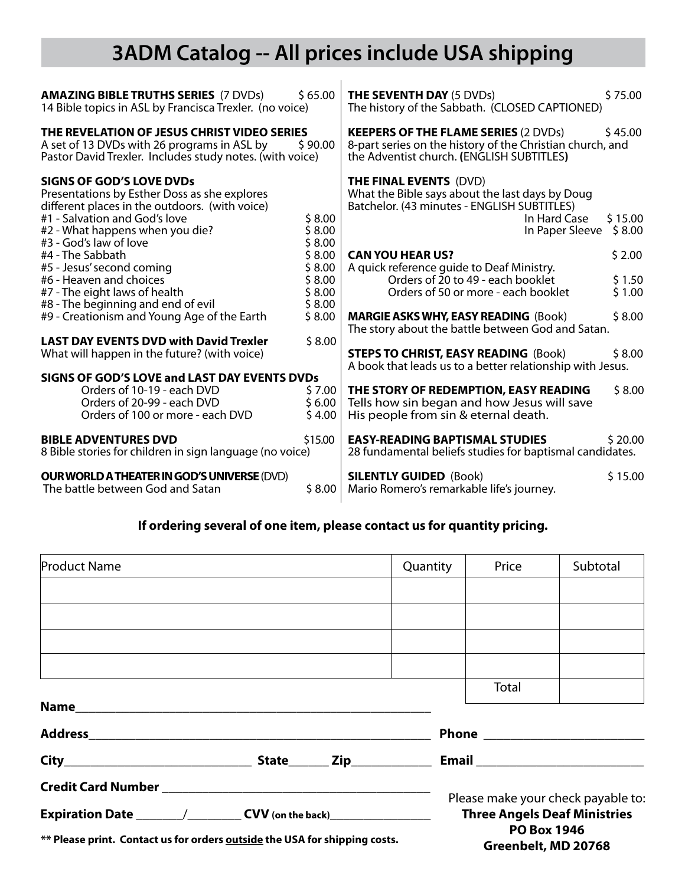### **3ADM Catalog -- All prices include USA shipping**

 $\overline{1}$ 

| <b>AMAZING BIBLE TRUTHS SERIES (7 DVDs)</b><br>14 Bible topics in ASL by Francisca Trexler. (no voice)                                                                                                                          | \$65.00                    | <b>THE SEVENTH DAY (5 DVDs)</b><br>The history of the Sabbath. (CLOSED CAPTIONED)                                                                                                       | \$75.00 |  |  |
|---------------------------------------------------------------------------------------------------------------------------------------------------------------------------------------------------------------------------------|----------------------------|-----------------------------------------------------------------------------------------------------------------------------------------------------------------------------------------|---------|--|--|
| THE REVELATION OF JESUS CHRIST VIDEO SERIES<br>A set of 13 DVDs with 26 programs in ASL by<br>\$90.00<br>Pastor David Trexler. Includes study notes. (with voice)                                                               |                            | <b>KEEPERS OF THE FLAME SERIES (2 DVDs)</b><br>\$45.00<br>8-part series on the history of the Christian church, and<br>the Adventist church. (ENGLISH SUBTITLES)                        |         |  |  |
| <b>SIGNS OF GOD'S LOVE DVDs</b><br>Presentations by Esther Doss as she explores<br>different places in the outdoors. (with voice)<br>#1 - Salvation and God's love<br>#2 - What happens when you die?<br>#3 - God's law of love |                            | <b>THE FINAL EVENTS (DVD)</b><br>What the Bible says about the last days by Doug<br>Batchelor. (43 minutes - ENGLISH SUBTITLES)<br>In Hard Case<br>\$15.00<br>In Paper Sleeve<br>\$8.00 |         |  |  |
| #4 - The Sabbath<br>#5 - Jesus' second coming                                                                                                                                                                                   | \$8.00<br>\$8.00<br>\$8.00 | <b>CAN YOU HEAR US?</b><br>A quick reference guide to Deaf Ministry.                                                                                                                    | \$2.00  |  |  |
| #6 - Heaven and choices                                                                                                                                                                                                         | \$8.00                     | Orders of 20 to 49 - each booklet                                                                                                                                                       | \$1.50  |  |  |
| #7 - The eight laws of health<br>#8 - The beginning and end of evil                                                                                                                                                             | \$8.00<br>\$8.00           | Orders of 50 or more - each booklet                                                                                                                                                     | \$1.00  |  |  |
| #9 - Creationism and Young Age of the Earth                                                                                                                                                                                     | \$8.00                     | <b>MARGIE ASKS WHY, EASY READING (Book)</b><br>The story about the battle between God and Satan.                                                                                        | \$8.00  |  |  |
| <b>LAST DAY EVENTS DVD with David Trexler</b><br>What will happen in the future? (with voice)                                                                                                                                   | \$8.00                     | <b>STEPS TO CHRIST, EASY READING (Book)</b><br>A book that leads us to a better relationship with Jesus.                                                                                | \$8.00  |  |  |
| SIGNS OF GOD'S LOVE and LAST DAY EVENTS DVDs                                                                                                                                                                                    |                            |                                                                                                                                                                                         |         |  |  |
| Orders of 10-19 - each DVD<br>Orders of 20-99 - each DVD<br>Orders of 100 or more - each DVD                                                                                                                                    | \$7.00<br>\$6.00<br>\$4.00 | THE STORY OF REDEMPTION, EASY READING<br>Tells how sin began and how Jesus will save<br>His people from sin & eternal death.                                                            | \$8.00  |  |  |
| <b>BIBLE ADVENTURES DVD</b><br>8 Bible stories for children in sign language (no voice)                                                                                                                                         | \$15.00                    | <b>EASY-READING BAPTISMAL STUDIES</b><br>28 fundamental beliefs studies for baptismal candidates.                                                                                       | \$20.00 |  |  |
| <b>OUR WORLD A THEATER IN GOD'S UNIVERSE (DVD)</b><br>The battle between God and Satan                                                                                                                                          | \$8.00                     | <b>SILENTLY GUIDED (Book)</b><br>Mario Romero's remarkable life's journey.                                                                                                              | \$15.00 |  |  |

### **If ordering several of one item, please contact us for quantity pricing.**

| <b>Product Name</b>                                                              |  | Quantity                                  | Price                               | Subtotal                           |  |  |
|----------------------------------------------------------------------------------|--|-------------------------------------------|-------------------------------------|------------------------------------|--|--|
|                                                                                  |  |                                           |                                     |                                    |  |  |
|                                                                                  |  |                                           |                                     |                                    |  |  |
|                                                                                  |  |                                           |                                     |                                    |  |  |
|                                                                                  |  |                                           | Total                               |                                    |  |  |
|                                                                                  |  |                                           |                                     |                                    |  |  |
|                                                                                  |  |                                           |                                     |                                    |  |  |
|                                                                                  |  |                                           |                                     |                                    |  |  |
|                                                                                  |  |                                           |                                     | Please make your check payable to: |  |  |
| Expiration Date ______/_________CVV (on the back)_______________________________ |  |                                           | <b>Three Angels Deaf Ministries</b> |                                    |  |  |
| ** Please print. Contact us for orders outside the USA for shipping costs.       |  | <b>PO Box 1946</b><br>Greenbelt, MD 20768 |                                     |                                    |  |  |